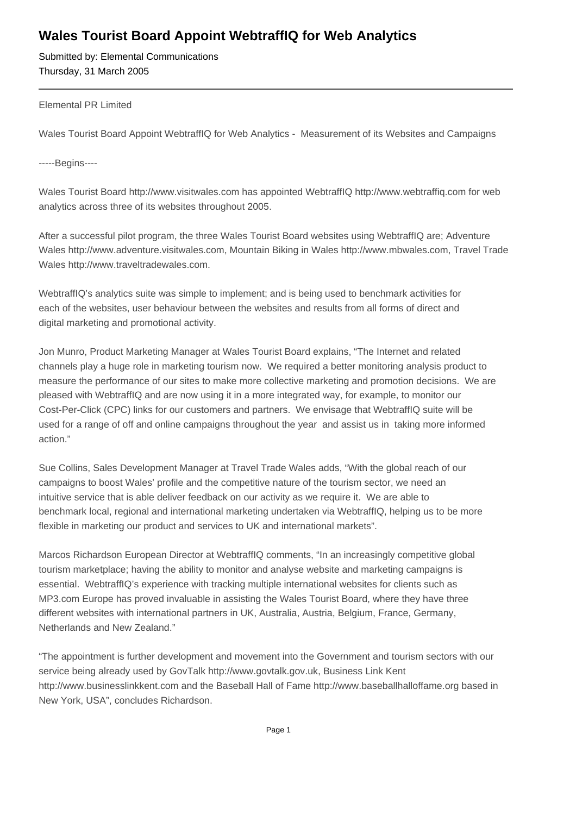## **Wales Tourist Board Appoint WebtraffIQ for Web Analytics**

Submitted by: Elemental Communications Thursday, 31 March 2005

## Elemental PR Limited

Wales Tourist Board Appoint WebtraffIQ for Web Analytics - Measurement of its Websites and Campaigns

-----Begins----

Wales Tourist Board http://www.visitwales.com has appointed WebtraffIQ http://www.webtraffiq.com for web analytics across three of its websites throughout 2005.

After a successful pilot program, the three Wales Tourist Board websites using WebtraffIQ are; Adventure Wales http://www.adventure.visitwales.com, Mountain Biking in Wales http://www.mbwales.com, Travel Trade Wales http://www.traveltradewales.com.

WebtraffIQ's analytics suite was simple to implement; and is being used to benchmark activities for each of the websites, user behaviour between the websites and results from all forms of direct and digital marketing and promotional activity.

Jon Munro, Product Marketing Manager at Wales Tourist Board explains, "The Internet and related channels play a huge role in marketing tourism now. We required a better monitoring analysis product to measure the performance of our sites to make more collective marketing and promotion decisions. We are pleased with WebtraffIQ and are now using it in a more integrated way, for example, to monitor our Cost-Per-Click (CPC) links for our customers and partners. We envisage that WebtraffIQ suite will be used for a range of off and online campaigns throughout the year and assist us in taking more informed action."

Sue Collins, Sales Development Manager at Travel Trade Wales adds, "With the global reach of our campaigns to boost Wales' profile and the competitive nature of the tourism sector, we need an intuitive service that is able deliver feedback on our activity as we require it. We are able to benchmark local, regional and international marketing undertaken via WebtraffIQ, helping us to be more flexible in marketing our product and services to UK and international markets".

Marcos Richardson European Director at WebtraffIQ comments, "In an increasingly competitive global tourism marketplace; having the ability to monitor and analyse website and marketing campaigns is essential. WebtraffIQ's experience with tracking multiple international websites for clients such as MP3.com Europe has proved invaluable in assisting the Wales Tourist Board, where they have three different websites with international partners in UK, Australia, Austria, Belgium, France, Germany, Netherlands and New Zealand."

"The appointment is further development and movement into the Government and tourism sectors with our service being already used by GovTalk http://www.govtalk.gov.uk, Business Link Kent http://www.businesslinkkent.com and the Baseball Hall of Fame http://www.baseballhalloffame.org based in New York, USA", concludes Richardson.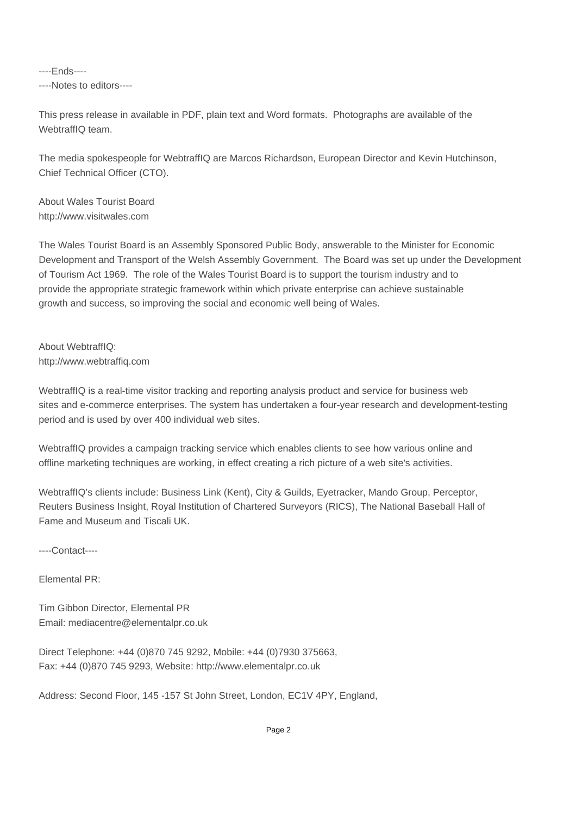----Ends---- ----Notes to editors----

This press release in available in PDF, plain text and Word formats. Photographs are available of the WebtraffIQ team.

The media spokespeople for WebtraffIQ are Marcos Richardson, European Director and Kevin Hutchinson, Chief Technical Officer (CTO).

About Wales Tourist Board http://www.visitwales.com

The Wales Tourist Board is an Assembly Sponsored Public Body, answerable to the Minister for Economic Development and Transport of the Welsh Assembly Government. The Board was set up under the Development of Tourism Act 1969. The role of the Wales Tourist Board is to support the tourism industry and to provide the appropriate strategic framework within which private enterprise can achieve sustainable growth and success, so improving the social and economic well being of Wales.

About WebtraffIQ: http://www.webtraffiq.com

WebtraffIQ is a real-time visitor tracking and reporting analysis product and service for business web sites and e-commerce enterprises. The system has undertaken a four-year research and development-testing period and is used by over 400 individual web sites.

WebtraffIQ provides a campaign tracking service which enables clients to see how various online and offline marketing techniques are working, in effect creating a rich picture of a web site's activities.

WebtraffIQ's clients include: Business Link (Kent), City & Guilds, Eyetracker, Mando Group, Perceptor, Reuters Business Insight, Royal Institution of Chartered Surveyors (RICS), The National Baseball Hall of Fame and Museum and Tiscali UK.

----Contact----

Elemental PR:

Tim Gibbon Director, Elemental PR Email: mediacentre@elementalpr.co.uk

Direct Telephone: +44 (0)870 745 9292, Mobile: +44 (0)7930 375663, Fax: +44 (0)870 745 9293, Website: http://www.elementalpr.co.uk

Address: Second Floor, 145 -157 St John Street, London, EC1V 4PY, England,